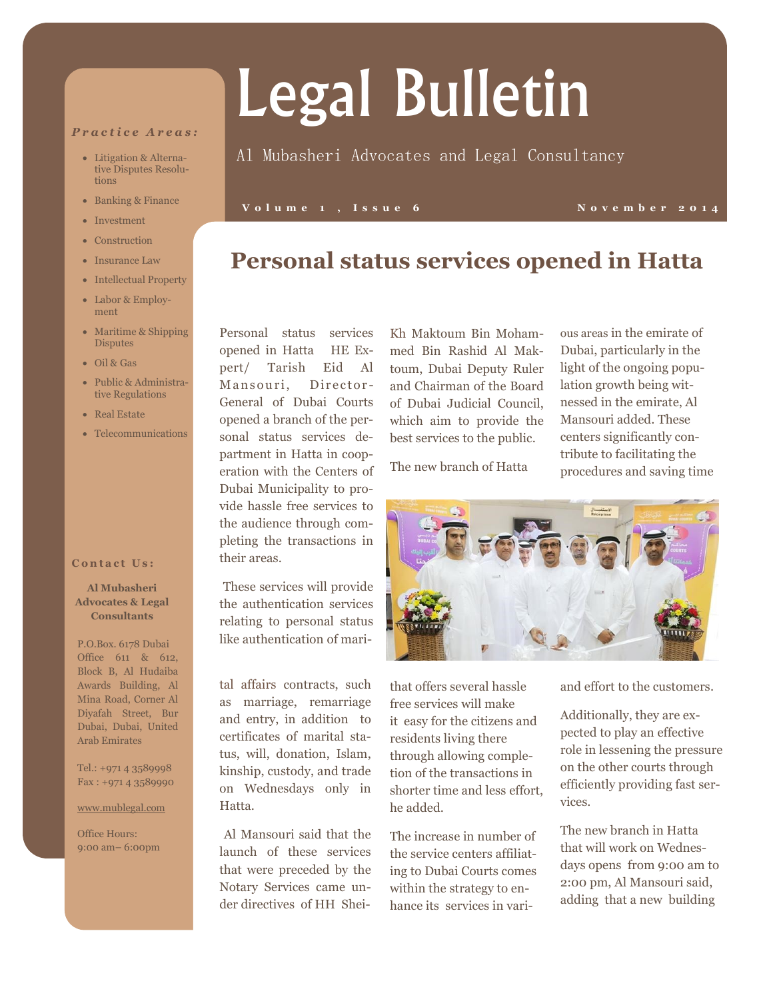#### *P r a c t i c e A r e a s :*

- Litigation & Alternative Disputes Resolutions
- Banking & Finance
- Investment
- Construction
- Insurance Law
- Intellectual Property
- Labor & Employment
- Maritime & Shipping **Disputes**
- Oil & Gas
- Public & Administrative Regulations
- Real Estate
- Telecommunications

#### **Contact Us:**

#### **Al Mubasheri Advocates & Legal Consultants**

P.O.Box. 6178 Dubai Office 611 & 612, Block B, Al Hudaiba Awards Building, Al Mina Road, Corner Al Diyafah Street, Bur Dubai, Dubai, United Arab Emirates

Tel.: +971 4 3589998 Fax : +971 4 3589990

www.mublegal.com

Office Hours: 9:00 am– 6:00pm Personal status services opened in Hatta HE Expert/ Tarish Eid Al Mansouri, Director-General of Dubai Courts opened a branch of the personal status services department in Hatta in cooperation with the Centers of Dubai Municipality to provide hassle free services to the audience through completing the transactions in their areas.

These services will provide the authentication services relating to personal status like authentication of mari-

tal affairs contracts, such as marriage, remarriage and entry, in addition to certificates of marital status, will, donation, Islam, kinship, custody, and trade on Wednesdays only in Hatta.

Al Mansouri said that the launch of these services that were preceded by the Notary Services came under directives of HH Shei-

Kh Maktoum Bin Mohammed Bin Rashid Al Maktoum, Dubai Deputy Ruler and Chairman of the Board of Dubai Judicial Council, which aim to provide the best services to the public.

**Personal status services opened in Hatta**

The new branch of Hatta

ous areas in the emirate of Dubai, particularly in the light of the ongoing population growth being witnessed in the emirate, Al Mansouri added. These centers significantly contribute to facilitating the procedures and saving time



that offers several hassle free services will make it easy for the citizens and residents living there through allowing completion of the transactions in shorter time and less effort, he added.

The increase in number of the service centers affiliating to Dubai Courts comes within the strategy to enhance its services in variand effort to the customers.

Additionally, they are expected to play an effective role in lessening the pressure on the other courts through efficiently providing fast services.

The new branch in Hatta that will work on Wednesdays opens from 9:00 am to 2:00 pm, Al Mansouri said, adding that a new building

# Legal Bulletin

### Al Mubasheri Advocates and Legal Consultancy

#### **V o l u m e 1 , I s s u e 6 N o v e m b e r 2 0 1 4**